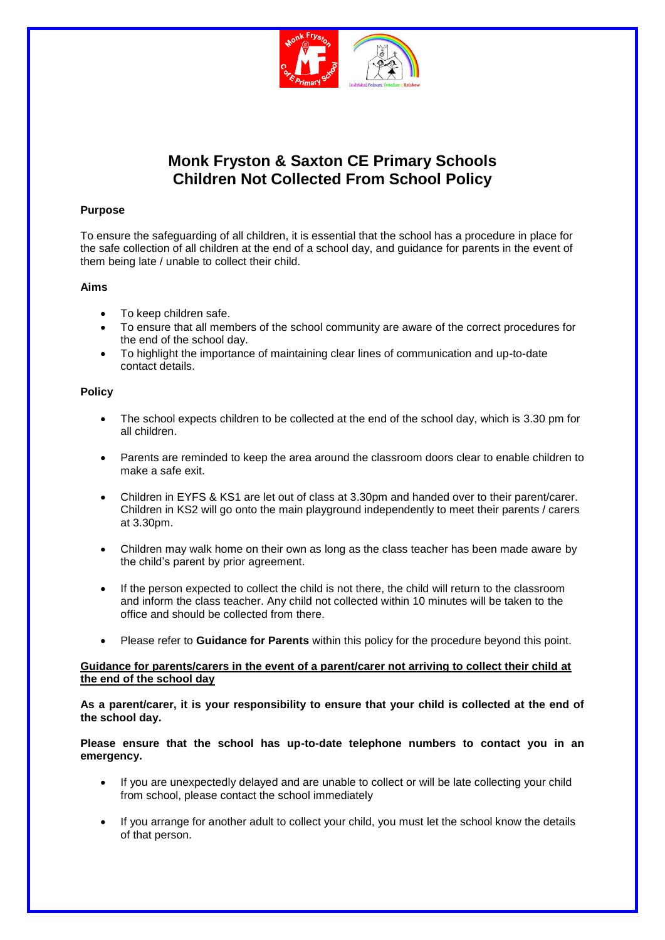

# **Monk Fryston & Saxton CE Primary Schools Children Not Collected From School Policy**

## **Purpose**

To ensure the safeguarding of all children, it is essential that the school has a procedure in place for the safe collection of all children at the end of a school day, and guidance for parents in the event of them being late / unable to collect their child.

### **Aims**

- To keep children safe.
- To ensure that all members of the school community are aware of the correct procedures for the end of the school day.
- To highlight the importance of maintaining clear lines of communication and up-to-date contact details.

### **Policy**

- The school expects children to be collected at the end of the school day, which is 3.30 pm for all children.
- Parents are reminded to keep the area around the classroom doors clear to enable children to make a safe exit.
- Children in EYFS & KS1 are let out of class at 3.30pm and handed over to their parent/carer. Children in KS2 will go onto the main playground independently to meet their parents / carers at 3.30pm.
- Children may walk home on their own as long as the class teacher has been made aware by the child's parent by prior agreement.
- If the person expected to collect the child is not there, the child will return to the classroom and inform the class teacher. Any child not collected within 10 minutes will be taken to the office and should be collected from there.
- Please refer to **Guidance for Parents** within this policy for the procedure beyond this point.

### **Guidance for parents/carers in the event of a parent/carer not arriving to collect their child at the end of the school day**

**As a parent/carer, it is your responsibility to ensure that your child is collected at the end of the school day.**

**Please ensure that the school has up-to-date telephone numbers to contact you in an emergency.** 

- If you are unexpectedly delayed and are unable to collect or will be late collecting your child from school, please contact the school immediately
- If you arrange for another adult to collect your child, you must let the school know the details of that person.